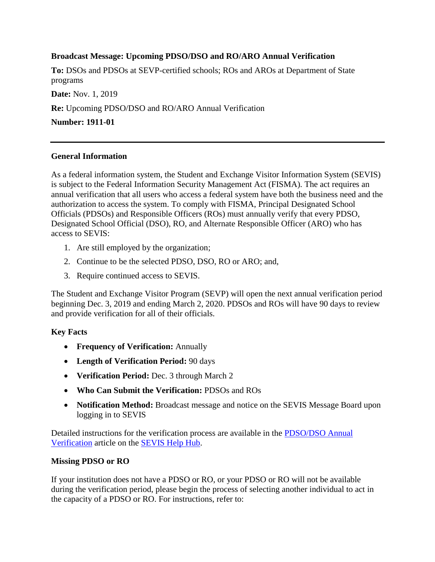# **Broadcast Message: Upcoming PDSO/DSO and RO/ARO Annual Verification**

**To:** DSOs and PDSOs at SEVP-certified schools; ROs and AROs at Department of State programs

**Date:** Nov. 1, 2019

**Re:** Upcoming PDSO/DSO and RO/ARO Annual Verification

**Number: 1911-01**

### **General Information**

As a federal information system, the Student and Exchange Visitor Information System (SEVIS) is subject to the Federal Information Security Management Act (FISMA). The act requires an annual verification that all users who access a federal system have both the business need and the authorization to access the system. To comply with FISMA, Principal Designated School Officials (PDSOs) and Responsible Officers (ROs) must annually verify that every PDSO, Designated School Official (DSO), RO, and Alternate Responsible Officer (ARO) who has access to SEVIS:

- 1. Are still employed by the organization;
- 2. Continue to be the selected PDSO, DSO, RO or ARO; and,
- 3. Require continued access to SEVIS.

The Student and Exchange Visitor Program (SEVP) will open the next annual verification period beginning Dec. 3, 2019 and ending March 2, 2020. PDSOs and ROs will have 90 days to review and provide verification for all of their officials.

# **Key Facts**

- **Frequency of Verification:** Annually
- **Length of Verification Period:** 90 days
- **Verification Period:** Dec. 3 through March 2
- **Who Can Submit the Verification:** PDSOs and ROs
- **Notification Method:** Broadcast message and notice on the SEVIS Message Board upon logging in to SEVIS

Detailed instructions for the verification process are available in the [PDSO/DSO Annual](https://studyinthestates.dhs.gov/sevis-help-hub/school-records/pdsodso-annual-verification)  [Verification](https://studyinthestates.dhs.gov/sevis-help-hub/school-records/pdsodso-annual-verification) article on the [SEVIS Help Hub.](https://studyinthestates.dhs.gov/sevis-help-hub)

# **Missing PDSO or RO**

If your institution does not have a PDSO or RO, or your PDSO or RO will not be available during the verification period, please begin the process of selecting another individual to act in the capacity of a PDSO or RO. For instructions, refer to: